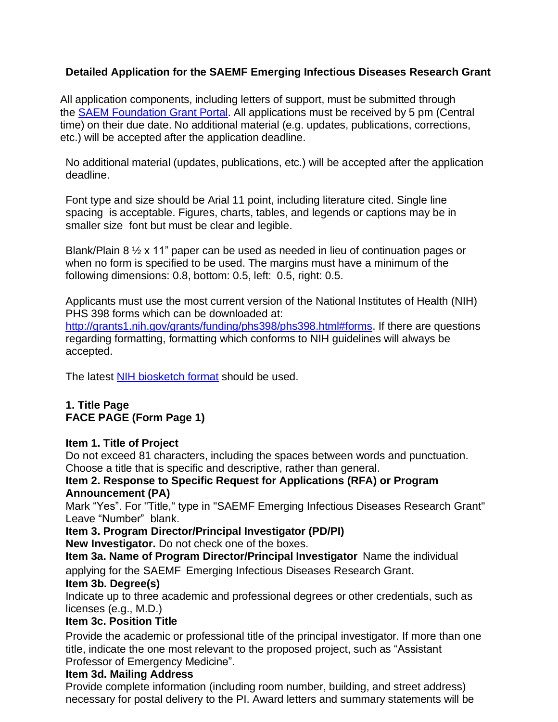# **Detailed Application for the SAEMF Emerging Infectious Diseases Research Grant**

All application components, including letters of support, must be submitted through the [SAEM Foundation Grant Portal.](https://auth.saem.org/openid/authenticate?state=7e5c1964-30bd-11ea-bf93-002590ebe516&redirect_uri=https%3A%2F%2Fsaem.smapply.io%2Fsso%2Foauth%2F&response_type=code&client_id=39b29911-9e25-4416-b0cb-bd33a0d2dd45) All applications must be received by 5 pm (Central time) on their due date. No additional material (e.g. updates, publications, corrections, etc.) will be accepted after the application deadline.

No additional material (updates, publications, etc.) will be accepted after the application deadline.

Font type and size should be Arial 11 point, including literature cited. Single line spacing is acceptable. Figures, charts, tables, and legends or captions may be in smaller size font but must be clear and legible.

Blank/Plain 8 ½ x 11" paper can be used as needed in lieu of continuation pages or when no form is specified to be used. The margins must have a minimum of the following dimensions: 0.8, bottom: 0.5, left: 0.5, right: 0.5.

Applicants must use the most current version of the National Institutes of Health (NIH) PHS 398 forms which can be downloaded at:

[http://grants1.nih.gov/grants/funding/phs398/phs398.html#forms.](http://grants1.nih.gov/grants/funding/phs398/phs398.html%23forms) If there are questions regarding formatting, formatting which conforms to NIH guidelines will always be accepted.

The latest [NIH biosketch format](https://grants.nih.gov/grants/forms/biosketch.htm) should be used.

## **1. Title Page FACE PAGE (Form Page 1)**

#### **Item 1. Title of Project**

Do not exceed 81 characters, including the spaces between words and punctuation. Choose a title that is specific and descriptive, rather than general.

### **Item 2. Response to Specific Request for Applications (RFA) or Program Announcement (PA)**

Mark "Yes". For "Title," type in "SAEMF Emerging Infectious Diseases Research Grant" Leave "Number" blank.

## **Item 3. Program Director/Principal Investigator (PD/PI)**

**New Investigator.** Do not check one of the boxes.

**Item 3a. Name of Program Director/Principal Investigator** Name the individual applying for the SAEMF Emerging Infectious Diseases Research Grant.

#### **Item 3b. Degree(s)**

Indicate up to three academic and professional degrees or other credentials, such as licenses (e.g., M.D.)

## **Item 3c. Position Title**

Provide the academic or professional title of the principal investigator. If more than one title, indicate the one most relevant to the proposed project, such as "Assistant Professor of Emergency Medicine".

## **Item 3d. Mailing Address**

Provide complete information (including room number, building, and street address) necessary for postal delivery to the PI. Award letters and summary statements will be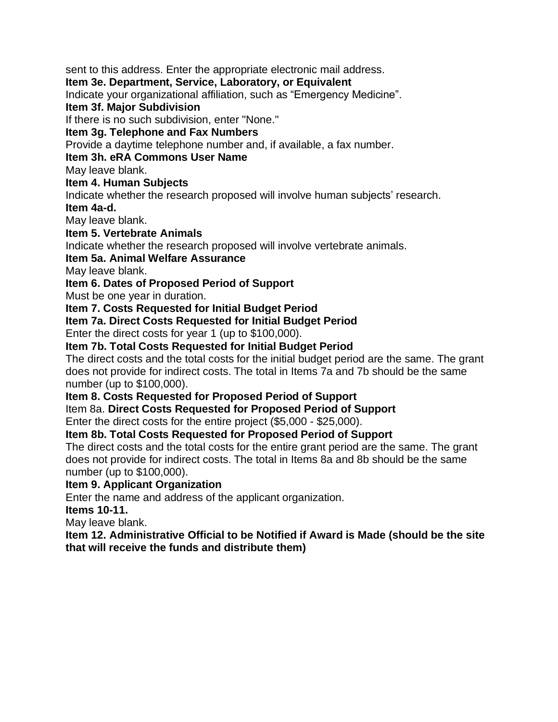sent to this address. Enter the appropriate electronic mail address.

### **Item 3e. Department, Service, Laboratory, or Equivalent**

Indicate your organizational affiliation, such as "Emergency Medicine".

#### **Item 3f. Major Subdivision**

If there is no such subdivision, enter "None."

### **Item 3g. Telephone and Fax Numbers**

Provide a daytime telephone number and, if available, a fax number.

### **Item 3h. eRA Commons User Name**

May leave blank.

### **Item 4. Human Subjects**

Indicate whether the research proposed will involve human subjects' research.

### **Item 4a-d.**

May leave blank.

## **Item 5. Vertebrate Animals**

Indicate whether the research proposed will involve vertebrate animals.

## **Item 5a. Animal Welfare Assurance**

May leave blank.

# **Item 6. Dates of Proposed Period of Support**

Must be one year in duration.

## **Item 7. Costs Requested for Initial Budget Period**

**Item 7a. Direct Costs Requested for Initial Budget Period**

Enter the direct costs for year 1 (up to \$100,000).

# **Item 7b. Total Costs Requested for Initial Budget Period**

The direct costs and the total costs for the initial budget period are the same. The grant does not provide for indirect costs. The total in Items 7a and 7b should be the same number (up to \$100,000).

## **Item 8. Costs Requested for Proposed Period of Support**

Item 8a. **Direct Costs Requested for Proposed Period of Support**

Enter the direct costs for the entire project (\$5,000 - \$25,000).

## **Item 8b. Total Costs Requested for Proposed Period of Support**

The direct costs and the total costs for the entire grant period are the same. The grant does not provide for indirect costs. The total in Items 8a and 8b should be the same number (up to \$100,000).

## **Item 9. Applicant Organization**

Enter the name and address of the applicant organization.

**Items 10-11.**

May leave blank.

**Item 12. Administrative Official to be Notified if Award is Made (should be the site that will receive the funds and distribute them)**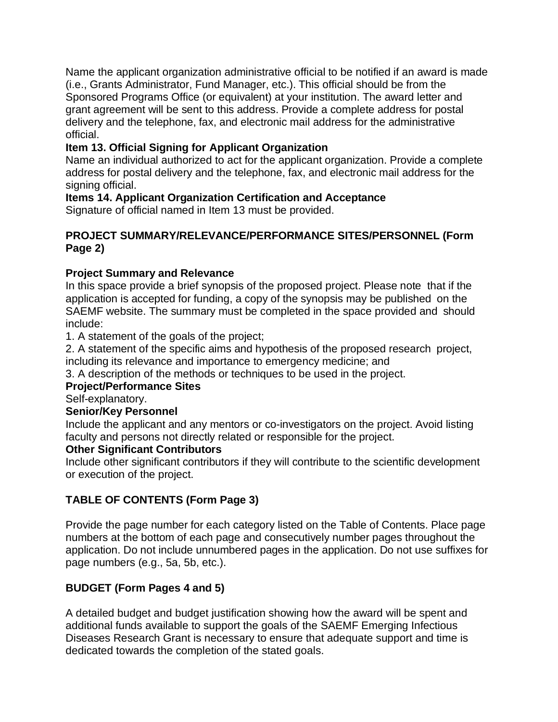Name the applicant organization administrative official to be notified if an award is made (i.e., Grants Administrator, Fund Manager, etc.). This official should be from the Sponsored Programs Office (or equivalent) at your institution. The award letter and grant agreement will be sent to this address. Provide a complete address for postal delivery and the telephone, fax, and electronic mail address for the administrative official.

## **Item 13. Official Signing for Applicant Organization**

Name an individual authorized to act for the applicant organization. Provide a complete address for postal delivery and the telephone, fax, and electronic mail address for the signing official.

### **Items 14. Applicant Organization Certification and Acceptance**

Signature of official named in Item 13 must be provided.

### **PROJECT SUMMARY/RELEVANCE/PERFORMANCE SITES/PERSONNEL (Form Page 2)**

### **Project Summary and Relevance**

In this space provide a brief synopsis of the proposed project. Please note that if the application is accepted for funding, a copy of the synopsis may be published on the SAEMF website. The summary must be completed in the space provided and should include:

1. A statement of the goals of the project;

2. A statement of the specific aims and hypothesis of the proposed research project, including its relevance and importance to emergency medicine; and

3. A description of the methods or techniques to be used in the project.

## **Project/Performance Sites**

Self-explanatory.

#### **Senior/Key Personnel**

Include the applicant and any mentors or co-investigators on the project. Avoid listing faculty and persons not directly related or responsible for the project.

#### **Other Significant Contributors**

Include other significant contributors if they will contribute to the scientific development or execution of the project.

## **TABLE OF CONTENTS (Form Page 3)**

Provide the page number for each category listed on the Table of Contents. Place page numbers at the bottom of each page and consecutively number pages throughout the application. Do not include unnumbered pages in the application. Do not use suffixes for page numbers (e.g., 5a, 5b, etc.).

## **BUDGET (Form Pages 4 and 5)**

A detailed budget and budget justification showing how the award will be spent and additional funds available to support the goals of the SAEMF Emerging Infectious Diseases Research Grant is necessary to ensure that adequate support and time is dedicated towards the completion of the stated goals.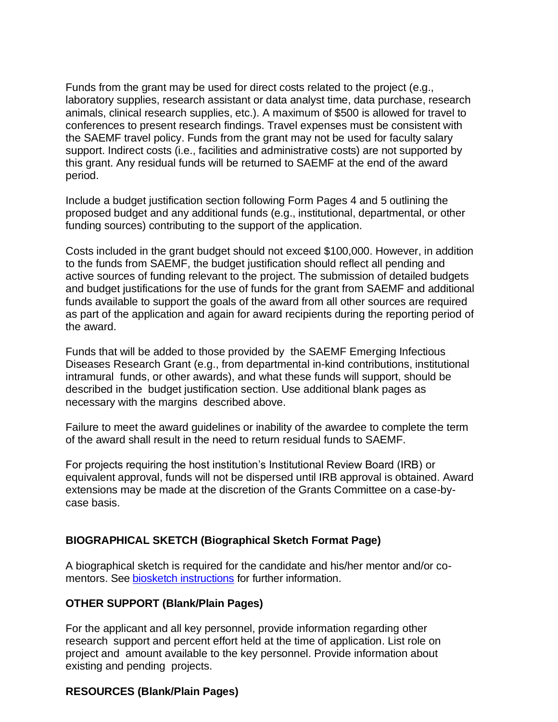Funds from the grant may be used for direct costs related to the project (e.g., laboratory supplies, research assistant or data analyst time, data purchase, research animals, clinical research supplies, etc.). A maximum of \$500 is allowed for travel to conferences to present research findings. Travel expenses must be consistent with the SAEMF travel policy. Funds from the grant may not be used for faculty salary support. Indirect costs (i.e., facilities and administrative costs) are not supported by this grant. Any residual funds will be returned to SAEMF at the end of the award period.

Include a budget justification section following Form Pages 4 and 5 outlining the proposed budget and any additional funds (e.g., institutional, departmental, or other funding sources) contributing to the support of the application.

Costs included in the grant budget should not exceed \$100,000. However, in addition to the funds from SAEMF, the budget justification should reflect all pending and active sources of funding relevant to the project. The submission of detailed budgets and budget justifications for the use of funds for the grant from SAEMF and additional funds available to support the goals of the award from all other sources are required as part of the application and again for award recipients during the reporting period of the award.

Funds that will be added to those provided by the SAEMF Emerging Infectious Diseases Research Grant (e.g., from departmental in-kind contributions, institutional intramural funds, or other awards), and what these funds will support, should be described in the budget justification section. Use additional blank pages as necessary with the margins described above.

Failure to meet the award guidelines or inability of the awardee to complete the term of the award shall result in the need to return residual funds to SAEMF.

For projects requiring the host institution's Institutional Review Board (IRB) or equivalent approval, funds will not be dispersed until IRB approval is obtained. Award extensions may be made at the discretion of the Grants Committee on a case-bycase basis.

#### **BIOGRAPHICAL SKETCH (Biographical Sketch Format Page)**

A biographical sketch is required for the candidate and his/her mentor and/or comentors. See [biosketch instructions](https://grants.nih.gov/grants/how-to-apply-application-guide/forms-e/general/g.240-r&r-seniorkey-person-profile-(expanded)-form.htm#Instructions) for further information.

#### **OTHER SUPPORT (Blank/Plain Pages)**

For the applicant and all key personnel, provide information regarding other research support and percent effort held at the time of application. List role on project and amount available to the key personnel. Provide information about existing and pending projects.

#### **RESOURCES (Blank/Plain Pages)**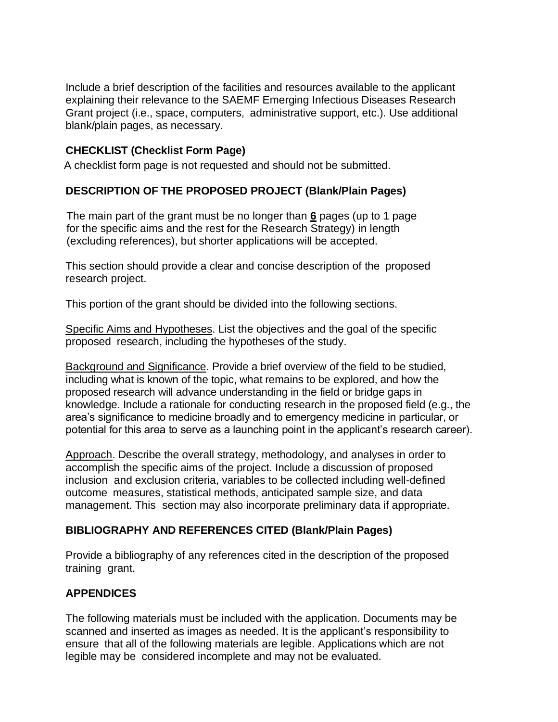Include a brief description of the facilities and resources available to the applicant explaining their relevance to the SAEMF Emerging Infectious Diseases Research Grant project (i.e., space, computers, administrative support, etc.). Use additional blank/plain pages, as necessary.

## **CHECKLIST (Checklist Form Page)**

A checklist form page is not requested and should not be submitted.

## **DESCRIPTION OF THE PROPOSED PROJECT (Blank/Plain Pages)**

The main part of the grant must be no longer than **6** pages (up to 1 page for the specific aims and the rest for the Research Strategy) in length (excluding references), but shorter applications will be accepted.

This section should provide a clear and concise description of the proposed research project.

This portion of the grant should be divided into the following sections.

Specific Aims and Hypotheses. List the objectives and the goal of the specific proposed research, including the hypotheses of the study.

Background and Significance. Provide a brief overview of the field to be studied, including what is known of the topic, what remains to be explored, and how the proposed research will advance understanding in the field or bridge gaps in knowledge. Include a rationale for conducting research in the proposed field (e.g., the area's significance to medicine broadly and to emergency medicine in particular, or potential for this area to serve as a launching point in the applicant's research career).

Approach. Describe the overall strategy, methodology, and analyses in order to accomplish the specific aims of the project. Include a discussion of proposed inclusion and exclusion criteria, variables to be collected including well-defined outcome measures, statistical methods, anticipated sample size, and data management. This section may also incorporate preliminary data if appropriate.

#### **BIBLIOGRAPHY AND REFERENCES CITED (Blank/Plain Pages)**

Provide a bibliography of any references cited in the description of the proposed training grant.

## **APPENDICES**

The following materials must be included with the application. Documents may be scanned and inserted as images as needed. It is the applicant's responsibility to ensure that all of the following materials are legible. Applications which are not legible may be considered incomplete and may not be evaluated.